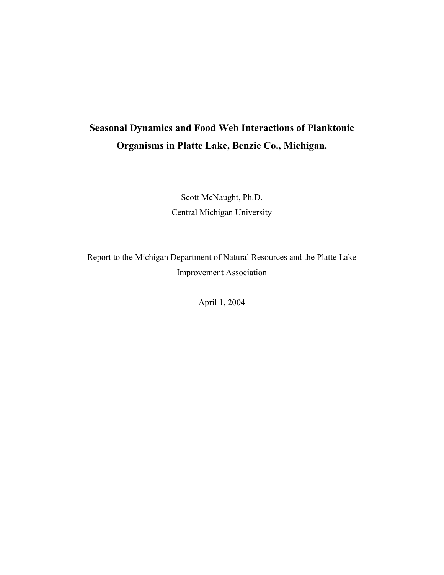# **Seasonal Dynamics and Food Web Interactions of Planktonic Organisms in Platte Lake, Benzie Co., Michigan.**

Scott McNaught, Ph.D. Central Michigan University

Report to the Michigan Department of Natural Resources and the Platte Lake Improvement Association

April 1, 2004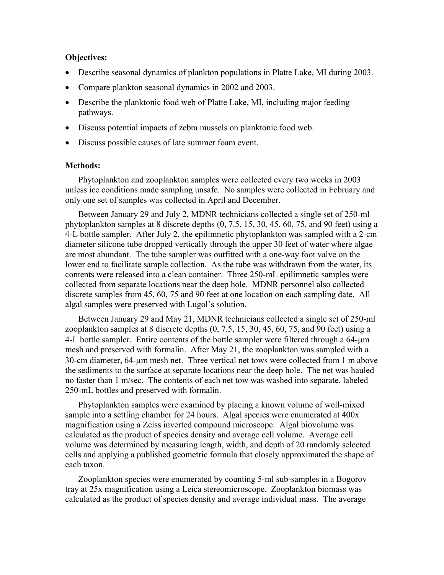#### **Objectives:**

- Describe seasonal dynamics of plankton populations in Platte Lake, MI during 2003.
- Compare plankton seasonal dynamics in 2002 and 2003.
- Describe the planktonic food web of Platte Lake, MI, including major feeding pathways.
- Discuss potential impacts of zebra mussels on planktonic food web.
- Discuss possible causes of late summer foam event.

#### **Methods:**

Phytoplankton and zooplankton samples were collected every two weeks in 2003 unless ice conditions made sampling unsafe. No samples were collected in February and only one set of samples was collected in April and December.

Between January 29 and July 2, MDNR technicians collected a single set of 250-ml phytoplankton samples at 8 discrete depths (0, 7.5, 15, 30, 45, 60, 75, and 90 feet) using a 4-L bottle sampler. After July 2, the epilimnetic phytoplankton was sampled with a 2-cm diameter silicone tube dropped vertically through the upper 30 feet of water where algae are most abundant. The tube sampler was outfitted with a one-way foot valve on the lower end to facilitate sample collection. As the tube was withdrawn from the water, its contents were released into a clean container. Three 250-mL epilimnetic samples were collected from separate locations near the deep hole. MDNR personnel also collected discrete samples from 45, 60, 75 and 90 feet at one location on each sampling date. All algal samples were preserved with Lugol's solution.

Between January 29 and May 21, MDNR technicians collected a single set of 250-ml zooplankton samples at 8 discrete depths (0, 7.5, 15, 30, 45, 60, 75, and 90 feet) using a 4-L bottle sampler. Entire contents of the bottle sampler were filtered through a 64-µm mesh and preserved with formalin. After May 21, the zooplankton was sampled with a 30-cm diameter, 64-µm mesh net. Three vertical net tows were collected from 1 m above the sediments to the surface at separate locations near the deep hole. The net was hauled no faster than 1 m/sec. The contents of each net tow was washed into separate, labeled 250-mL bottles and preserved with formalin.

Phytoplankton samples were examined by placing a known volume of well-mixed sample into a settling chamber for 24 hours. Algal species were enumerated at 400x magnification using a Zeiss inverted compound microscope. Algal biovolume was calculated as the product of species density and average cell volume. Average cell volume was determined by measuring length, width, and depth of 20 randomly selected cells and applying a published geometric formula that closely approximated the shape of each taxon.

Zooplankton species were enumerated by counting 5-ml sub-samples in a Bogorov tray at 25x magnification using a Leica stereomicroscope. Zooplankton biomass was calculated as the product of species density and average individual mass. The average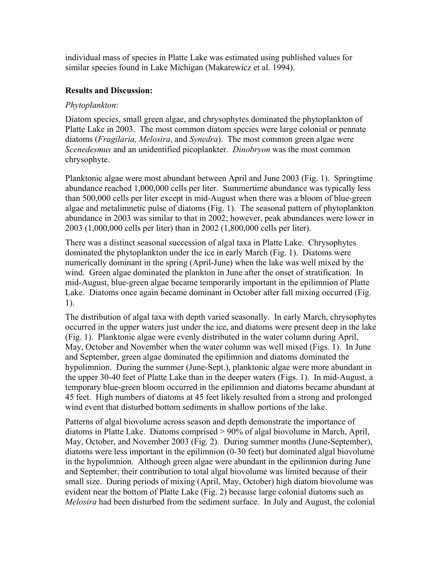individual mass of species in Platte Lake was estimated using published values for similar species found in Lake Michigan (Makarewicz et al. 1994).

## **Results and Discussion:**

### *Phytoplankton*:

Diatom species, small green algae, and chrysophytes dominated the phytoplankton of Platte Lake in 2003. The most common diatom species were large colonial or pennate diatoms (*Fragilaria, Melosira*, and *Synedra*). The most common green algae were *Scenedesmus* and an unidentified picoplankter. *Dinobryon* was the most common chrysophyte.

Planktonic algae were most abundant between April and June 2003 (Fig. 1). Springtime abundance reached 1,000,000 cells per liter. Summertime abundance was typically less than 500,000 cells per liter except in mid-August when there was a bloom of blue-green algae and metalimnetic pulse of diatoms (Fig. 1). The seasonal pattern of phytoplankton abundance in 2003 was similar to that in 2002; however, peak abundances were lower in 2003 (1,000,000 cells per liter) than in 2002 (1,800,000 cells per liter).

There was a distinct seasonal succession of algal taxa in Platte Lake. Chrysophytes dominated the phytoplankton under the ice in early March (Fig. 1). Diatoms were numerically dominant in the spring (April-June) when the lake was well mixed by the wind. Green algae dominated the plankton in June after the onset of stratification. In mid-August, blue-green algae became temporarily important in the epilimnion of Platte Lake. Diatoms once again became dominant in October after fall mixing occurred (Fig. 1).

The distribution of algal taxa with depth varied seasonally. In early March, chrysophytes occurred in the upper waters just under the ice, and diatoms were present deep in the lake (Fig. 1). Planktonic algae were evenly distributed in the water column during April, May, October and November when the water column was well mixed (Figs. 1). In June and September, green algae dominated the epilimnion and diatoms dominated the hypolimnion. During the summer (June-Sept.), planktonic algae were more abundant in the upper 30-40 feet of Platte Lake than in the deeper waters (Figs. 1). In mid-August, a temporary blue-green bloom occurred in the epilimnion and diatoms became abundant at 45 feet. High numbers of diatoms at 45 feet likely resulted from a strong and prolonged wind event that disturbed bottom sediments in shallow portions of the lake.

Patterns of algal biovolume across season and depth demonstrate the importance of diatoms in Platte Lake. Diatoms comprised > 90% of algal biovolume in March, April, May, October, and November 2003 (Fig. 2). During summer months (June-September), diatoms were less important in the epilimnion (0-30 feet) but dominated algal biovolume in the hypolimnion. Although green algae were abundant in the epilimnion during June and September, their contribution to total algal biovolume was limited because of their small size. During periods of mixing (April, May, October) high diatom biovolume was evident near the bottom of Platte Lake (Fig. 2) because large colonial diatoms such as *Melosira* had been disturbed from the sediment surface. In July and August, the colonial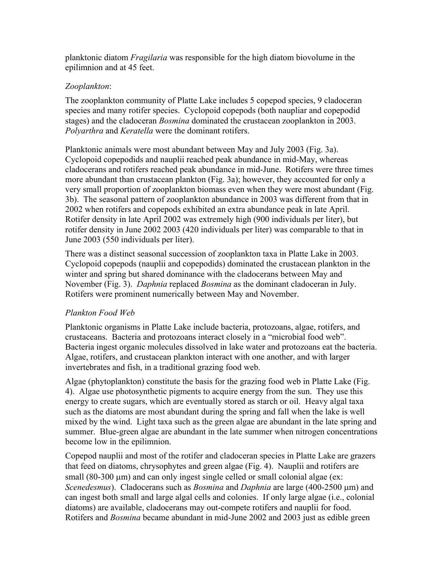planktonic diatom *Fragilaria* was responsible for the high diatom biovolume in the epilimnion and at 45 feet.

# *Zooplankton*:

The zooplankton community of Platte Lake includes 5 copepod species, 9 cladoceran species and many rotifer species. Cyclopoid copepods (both naupliar and copepodid stages) and the cladoceran *Bosmina* dominated the crustacean zooplankton in 2003. *Polyarthra* and *Keratella* were the dominant rotifers.

Planktonic animals were most abundant between May and July 2003 (Fig. 3a). Cyclopoid copepodids and nauplii reached peak abundance in mid-May, whereas cladocerans and rotifers reached peak abundance in mid-June. Rotifers were three times more abundant than crustacean plankton (Fig. 3a); however, they accounted for only a very small proportion of zooplankton biomass even when they were most abundant (Fig. 3b). The seasonal pattern of zooplankton abundance in 2003 was different from that in 2002 when rotifers and copepods exhibited an extra abundance peak in late April. Rotifer density in late April 2002 was extremely high (900 individuals per liter), but rotifer density in June 2002 2003 (420 individuals per liter) was comparable to that in June 2003 (550 individuals per liter).

There was a distinct seasonal succession of zooplankton taxa in Platte Lake in 2003. Cyclopoid copepods (nauplii and copepodids) dominated the crustacean plankton in the winter and spring but shared dominance with the cladocerans between May and November (Fig. 3). *Daphnia* replaced *Bosmina* as the dominant cladoceran in July. Rotifers were prominent numerically between May and November.

# *Plankton Food Web*

Planktonic organisms in Platte Lake include bacteria, protozoans, algae, rotifers, and crustaceans. Bacteria and protozoans interact closely in a "microbial food web". Bacteria ingest organic molecules dissolved in lake water and protozoans eat the bacteria. Algae, rotifers, and crustacean plankton interact with one another, and with larger invertebrates and fish, in a traditional grazing food web.

Algae (phytoplankton) constitute the basis for the grazing food web in Platte Lake (Fig. 4). Algae use photosynthetic pigments to acquire energy from the sun. They use this energy to create sugars, which are eventually stored as starch or oil. Heavy algal taxa such as the diatoms are most abundant during the spring and fall when the lake is well mixed by the wind. Light taxa such as the green algae are abundant in the late spring and summer. Blue-green algae are abundant in the late summer when nitrogen concentrations become low in the epilimnion.

Copepod nauplii and most of the rotifer and cladoceran species in Platte Lake are grazers that feed on diatoms, chrysophytes and green algae (Fig. 4). Nauplii and rotifers are small  $(80-300 \mu m)$  and can only ingest single celled or small colonial algae (ex: *Scenedesmus*). Cladocerans such as *Bosmina* and *Daphnia* are large (400-2500 µm) and can ingest both small and large algal cells and colonies. If only large algae (i.e., colonial diatoms) are available, cladocerans may out-compete rotifers and nauplii for food. Rotifers and *Bosmina* became abundant in mid-June 2002 and 2003 just as edible green